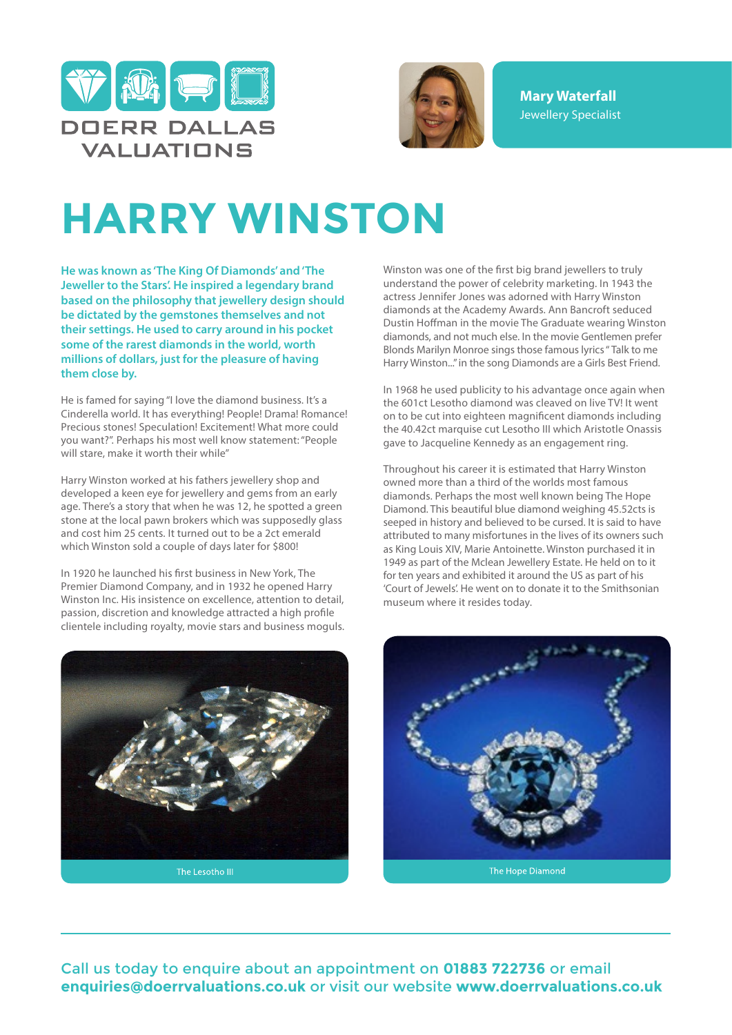



**Mary Waterfall** Jewellery Specialist

## **HARRY WINSTON**

**He was known as 'The King Of Diamonds' and 'The Jeweller to the Stars'. He inspired a legendary brand based on the philosophy that jewellery design should be dictated by the gemstones themselves and not their settings. He used to carry around in his pocket some of the rarest diamonds in the world, worth millions of dollars, just for the pleasure of having them close by.**

He is famed for saying "I love the diamond business. It's a Cinderella world. It has everything! People! Drama! Romance! Precious stones! Speculation! Excitement! What more could you want?". Perhaps his most well know statement: "People will stare, make it worth their while"

Harry Winston worked at his fathers jewellery shop and developed a keen eye for jewellery and gems from an early age. There's a story that when he was 12, he spotted a green stone at the local pawn brokers which was supposedly glass and cost him 25 cents. It turned out to be a 2ct emerald which Winston sold a couple of days later for \$800!

In 1920 he launched his first business in New York, The Premier Diamond Company, and in 1932 he opened Harry Winston Inc. His insistence on excellence, attention to detail, passion, discretion and knowledge attracted a high profile clientele including royalty, movie stars and business moguls.



The Lesotho III

Winston was one of the first big brand jewellers to truly understand the power of celebrity marketing. In 1943 the actress Jennifer Jones was adorned with Harry Winston diamonds at the Academy Awards. Ann Bancroft seduced Dustin Hoffman in the movie The Graduate wearing Winston diamonds, and not much else. In the movie Gentlemen prefer Blonds Marilyn Monroe sings those famous lyrics " Talk to me Harry Winston..." in the song Diamonds are a Girls Best Friend.

In 1968 he used publicity to his advantage once again when the 601ct Lesotho diamond was cleaved on live TV! It went on to be cut into eighteen magnificent diamonds including the 40.42ct marquise cut Lesotho III which Aristotle Onassis gave to Jacqueline Kennedy as an engagement ring.

Throughout his career it is estimated that Harry Winston owned more than a third of the worlds most famous diamonds. Perhaps the most well known being The Hope Diamond. This beautiful blue diamond weighing 45.52cts is seeped in history and believed to be cursed. It is said to have attributed to many misfortunes in the lives of its owners such as King Louis XIV, Marie Antoinette. Winston purchased it in 1949 as part of the Mclean Jewellery Estate. He held on to it for ten years and exhibited it around the US as part of his 'Court of Jewels'. He went on to donate it to the Smithsonian museum where it resides today.



Call us today to enquire about an appointment on **01883 722736** or email **enquiries@doerrvaluations.co.uk** or visit our website **www.doerrvaluations.co.uk**